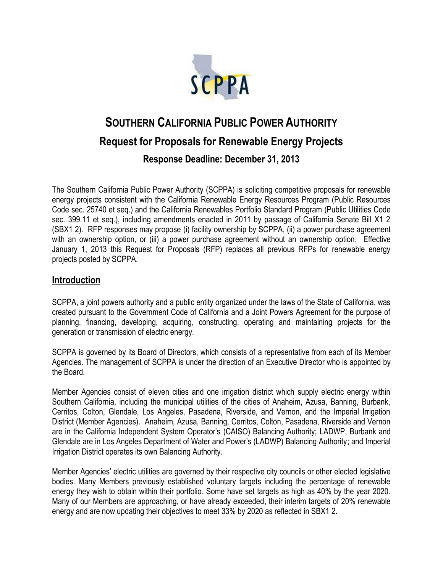

# **SOUTHERN CALIFORNIA PUBLIC POWER AUTHORITY Request for Proposals for Renewable Energy Projects**

**Response Deadline: December 31, 2013**

The Southern California Public Power Authority (SCPPA) is soliciting competitive proposals for renewable energy projects consistent with the California Renewable Energy Resources Program (Public Resources Code sec. 25740 et seq.) and the California Renewables Portfolio Standard Program (Public Utilities Code sec. 399.11 et seq.), including amendments enacted in 2011 by passage of California Senate Bill X1 2 (SBX1 2). RFP responses may propose (i) facility ownership by SCPPA, (ii) a power purchase agreement with an ownership option, or (iii) a power purchase agreement without an ownership option. Effective January 1, 2013 this Request for Proposals (RFP) replaces all previous RFPs for renewable energy projects posted by SCPPA.

## **Introduction**

SCPPA, a joint powers authority and a public entity organized under the laws of the State of California, was created pursuant to the Government Code of California and a Joint Powers Agreement for the purpose of planning, financing, developing, acquiring, constructing, operating and maintaining projects for the generation or transmission of electric energy.

SCPPA is governed by its Board of Directors, which consists of a representative from each of its Member Agencies. The management of SCPPA is under the direction of an Executive Director who is appointed by the Board.

Member Agencies consist of eleven cities and one irrigation district which supply electric energy within Southern California, including the municipal utilities of the cities of Anaheim, Azusa, Banning, Burbank, Cerritos, Colton, Glendale, Los Angeles, Pasadena, Riverside, and Vernon, and the Imperial Irrigation District (Member Agencies). Anaheim, Azusa, Banning, Cerritos, Colton, Pasadena, Riverside and Vernon are in the California Independent System Operator's (CAISO) Balancing Authority; LADWP, Burbank and Glendale are in Los Angeles Department of Water and Power's (LADWP) Balancing Authority; and Imperial Irrigation District operates its own Balancing Authority.

Member Agencies' electric utilities are governed by their respective city councils or other elected legislative bodies. Many Members previously established voluntary targets including the percentage of renewable energy they wish to obtain within their portfolio. Some have set targets as high as 40% by the year 2020. Many of our Members are approaching, or have already exceeded, their interim targets of 20% renewable energy and are now updating their objectives to meet 33% by 2020 as reflected in SBX1 2.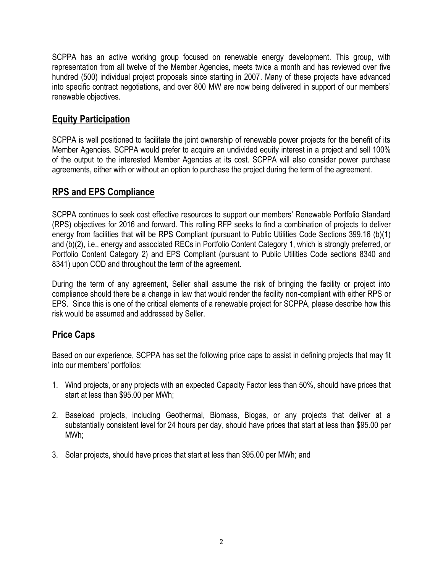SCPPA has an active working group focused on renewable energy development. This group, with representation from all twelve of the Member Agencies, meets twice a month and has reviewed over five hundred (500) individual project proposals since starting in 2007. Many of these projects have advanced into specific contract negotiations, and over 800 MW are now being delivered in support of our members' renewable objectives.

# **Equity Participation**

SCPPA is well positioned to facilitate the joint ownership of renewable power projects for the benefit of its Member Agencies. SCPPA would prefer to acquire an undivided equity interest in a project and sell 100% of the output to the interested Member Agencies at its cost. SCPPA will also consider power purchase agreements, either with or without an option to purchase the project during the term of the agreement.

## **RPS and EPS Compliance**

SCPPA continues to seek cost effective resources to support our members' Renewable Portfolio Standard (RPS) objectives for 2016 and forward. This rolling RFP seeks to find a combination of projects to deliver energy from facilities that will be RPS Compliant (pursuant to Public Utilities Code Sections 399.16 (b)(1) and (b)(2), i.e., energy and associated RECs in Portfolio Content Category 1, which is strongly preferred, or Portfolio Content Category 2) and EPS Compliant (pursuant to Public Utilities Code sections 8340 and 8341) upon COD and throughout the term of the agreement.

During the term of any agreement, Seller shall assume the risk of bringing the facility or project into compliance should there be a change in law that would render the facility non-compliant with either RPS or EPS. Since this is one of the critical elements of a renewable project for SCPPA, please describe how this risk would be assumed and addressed by Seller.

## **Price Caps**

Based on our experience, SCPPA has set the following price caps to assist in defining projects that may fit into our members' portfolios:

- 1. Wind projects, or any projects with an expected Capacity Factor less than 50%, should have prices that start at less than \$95.00 per MWh;
- 2. Baseload projects, including Geothermal, Biomass, Biogas, or any projects that deliver at a substantially consistent level for 24 hours per day, should have prices that start at less than \$95.00 per MWh;
- 3. Solar projects, should have prices that start at less than \$95.00 per MWh; and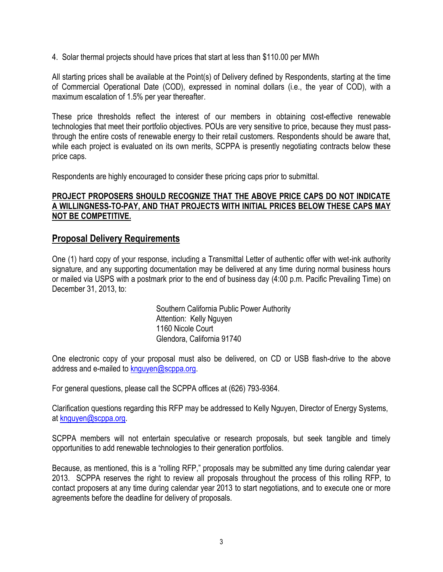4. Solar thermal projects should have prices that start at less than \$110.00 per MWh

All starting prices shall be available at the Point(s) of Delivery defined by Respondents, starting at the time of Commercial Operational Date (COD), expressed in nominal dollars (i.e., the year of COD), with a maximum escalation of 1.5% per year thereafter.

These price thresholds reflect the interest of our members in obtaining cost-effective renewable technologies that meet their portfolio objectives. POUs are very sensitive to price, because they must passthrough the entire costs of renewable energy to their retail customers. Respondents should be aware that, while each project is evaluated on its own merits, SCPPA is presently negotiating contracts below these price caps.

Respondents are highly encouraged to consider these pricing caps prior to submittal.

#### **PROJECT PROPOSERS SHOULD RECOGNIZE THAT THE ABOVE PRICE CAPS DO NOT INDICATE A WILLINGNESS-TO-PAY, AND THAT PROJECTS WITH INITIAL PRICES BELOW THESE CAPS MAY NOT BE COMPETITIVE.**

#### **Proposal Delivery Requirements**

One (1) hard copy of your response, including a Transmittal Letter of authentic offer with wet-ink authority signature, and any supporting documentation may be delivered at any time during normal business hours or mailed via USPS with a postmark prior to the end of business day (4:00 p.m. Pacific Prevailing Time) on December 31, 2013, to:

> Southern California Public Power Authority Attention: Kelly Nguyen 1160 Nicole Court Glendora, California 91740

One electronic copy of your proposal must also be delivered, on CD or USB flash-drive to the above address and e-mailed to [knguyen@scppa.org.](mailto:knguyen@scppa.org)

For general questions, please call the SCPPA offices at (626) 793-9364.

Clarification questions regarding this RFP may be addressed to Kelly Nguyen, Director of Energy Systems, at [knguyen@scppa.org.](mailto:knguyen@scppa.org)

SCPPA members will not entertain speculative or research proposals, but seek tangible and timely opportunities to add renewable technologies to their generation portfolios.

Because, as mentioned, this is a "rolling RFP," proposals may be submitted any time during calendar year 2013. SCPPA reserves the right to review all proposals throughout the process of this rolling RFP, to contact proposers at any time during calendar year 2013 to start negotiations, and to execute one or more agreements before the deadline for delivery of proposals.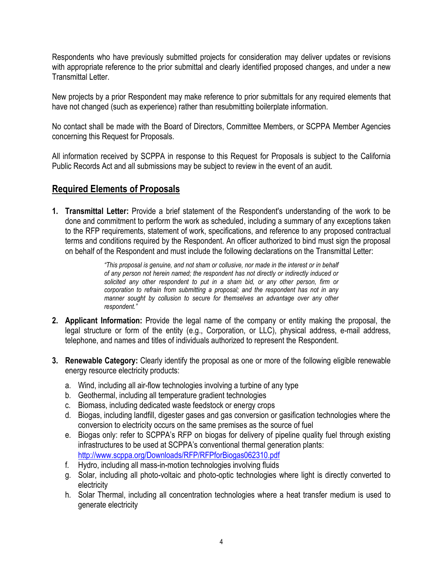Respondents who have previously submitted projects for consideration may deliver updates or revisions with appropriate reference to the prior submittal and clearly identified proposed changes, and under a new Transmittal Letter.

New projects by a prior Respondent may make reference to prior submittals for any required elements that have not changed (such as experience) rather than resubmitting boilerplate information.

No contact shall be made with the Board of Directors, Committee Members, or SCPPA Member Agencies concerning this Request for Proposals.

All information received by SCPPA in response to this Request for Proposals is subject to the California Public Records Act and all submissions may be subject to review in the event of an audit.

## **Required Elements of Proposals**

**1. Transmittal Letter:** Provide a brief statement of the Respondent's understanding of the work to be done and commitment to perform the work as scheduled, including a summary of any exceptions taken to the RFP requirements, statement of work, specifications, and reference to any proposed contractual terms and conditions required by the Respondent. An officer authorized to bind must sign the proposal on behalf of the Respondent and must include the following declarations on the Transmittal Letter:

> *"This proposal is genuine, and not sham or collusive, nor made in the interest or in behalf of any person not herein named; the respondent has not directly or indirectly induced or solicited any other respondent to put in a sham bid, or any other person, firm or corporation to refrain from submitting a proposal; and the respondent has not in any manner sought by collusion to secure for themselves an advantage over any other respondent."*

- **2. Applicant Information:** Provide the legal name of the company or entity making the proposal, the legal structure or form of the entity (e.g., Corporation, or LLC), physical address, e-mail address, telephone, and names and titles of individuals authorized to represent the Respondent.
- **3. Renewable Category:** Clearly identify the proposal as one or more of the following eligible renewable energy resource electricity products:
	- a. Wind, including all air-flow technologies involving a turbine of any type
	- b. Geothermal, including all temperature gradient technologies
	- c. Biomass, including dedicated waste feedstock or energy crops
	- d. Biogas, including landfill, digester gases and gas conversion or gasification technologies where the conversion to electricity occurs on the same premises as the source of fuel
	- e. Biogas only: refer to SCPPA's RFP on biogas for delivery of pipeline quality fuel through existing infrastructures to be used at SCPPA's conventional thermal generation plants: <http://www.scppa.org/Downloads/RFP/RFPforBiogas062310.pdf>
	- f. Hydro, including all mass-in-motion technologies involving fluids
	- g. Solar, including all photo-voltaic and photo-optic technologies where light is directly converted to electricity
	- h. Solar Thermal, including all concentration technologies where a heat transfer medium is used to generate electricity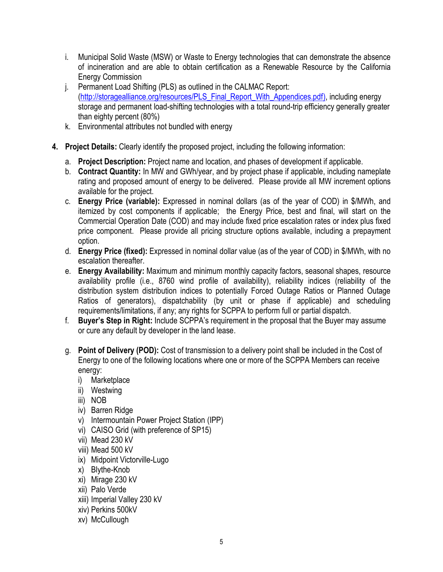- i. Municipal Solid Waste (MSW) or Waste to Energy technologies that can demonstrate the absence of incineration and are able to obtain certification as a Renewable Resource by the California Energy Commission
- j. Permanent Load Shifting (PLS) as outlined in the CALMAC Report: [\(http://storagealliance.org/resources/PLS\\_Final\\_Report\\_With\\_Appendices.pdf\)](http://storagealliance.org/resources/PLS_Final_Report_With_Appendices.pdf), including energy storage and permanent load-shifting technologies with a total round-trip efficiency generally greater than eighty percent (80%)
- k. Environmental attributes not bundled with energy
- **4. Project Details:** Clearly identify the proposed project, including the following information:
	- a. **Project Description:** Project name and location, and phases of development if applicable.
	- b. **Contract Quantity:** In MW and GWh/year, and by project phase if applicable, including nameplate rating and proposed amount of energy to be delivered. Please provide all MW increment options available for the project.
	- c. **Energy Price (variable):** Expressed in nominal dollars (as of the year of COD) in \$/MWh, and itemized by cost components if applicable; the Energy Price, best and final, will start on the Commercial Operation Date (COD) and may include fixed price escalation rates or index plus fixed price component. Please provide all pricing structure options available, including a prepayment option.
	- d. **Energy Price (fixed):** Expressed in nominal dollar value (as of the year of COD) in \$/MWh, with no escalation thereafter.
	- e. **Energy Availability:** Maximum and minimum monthly capacity factors, seasonal shapes, resource availability profile (i.e., 8760 wind profile of availability), reliability indices (reliability of the distribution system distribution indices to potentially Forced Outage Ratios or Planned Outage Ratios of generators), dispatchability (by unit or phase if applicable) and scheduling requirements/limitations, if any; any rights for SCPPA to perform full or partial dispatch.
	- f. **Buyer's Step in Right:** Include SCPPA's requirement in the proposal that the Buyer may assume or cure any default by developer in the land lease.
	- g. **Point of Delivery (POD):** Cost of transmission to a delivery point shall be included in the Cost of Energy to one of the following locations where one or more of the SCPPA Members can receive energy:
		- i) Marketplace
		- ii) Westwing
		- iii) NOB
		- iv) Barren Ridge
		- v) Intermountain Power Project Station (IPP)
		- vi) CAISO Grid (with preference of SP15)
		- vii) Mead 230 kV
		- viii) Mead 500 kV
		- ix) Midpoint Victorville-Lugo
		- x) Blythe-Knob
		- xi) Mirage 230 kV
		- xii) Palo Verde
		- xiii) Imperial Valley 230 kV
		- xiv) Perkins 500kV
		- xv) McCullough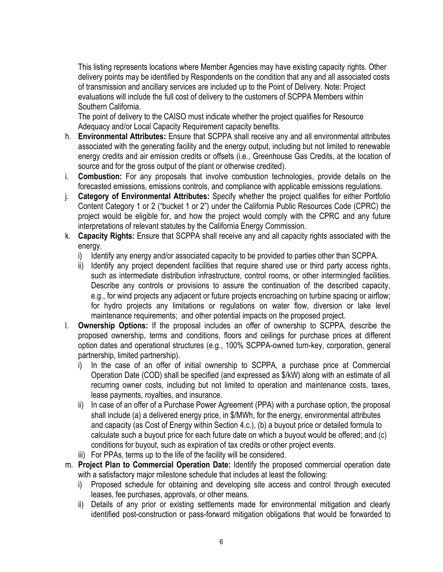This listing represents locations where Member Agencies may have existing capacity rights. Other delivery points may be identified by Respondents on the condition that any and all associated costs of transmission and ancillary services are included up to the Point of Delivery. Note: Project evaluations will include the full cost of delivery to the customers of SCPPA Members within Southern California.

The point of delivery to the CAISO must indicate whether the project qualifies for Resource Adequacy and/or Local Capacity Requirement capacity benefits.

- h. **Environmental Attributes:** Ensure that SCPPA shall receive any and all environmental attributes associated with the generating facility and the energy output, including but not limited to renewable energy credits and air emission credits or offsets (i.e., Greenhouse Gas Credits, at the location of source and for the gross output of the plant or otherwise credited).
- i. **Combustion:** For any proposals that involve combustion technologies, provide details on the forecasted emissions, emissions controls, and compliance with applicable emissions regulations.
- j. **Category of Environmental Attributes:** Specify whether the project qualifies for either Portfolio Content Category 1 or 2 ("bucket 1 or 2") under the California Public Resources Code (CPRC) the project would be eligible for, and how the project would comply with the CPRC and any future interpretations of relevant statutes by the California Energy Commission.
- k. **Capacity Rights:** Ensure that SCPPA shall receive any and all capacity rights associated with the energy.
	- i) Identify any energy and/or associated capacity to be provided to parties other than SCPPA.
	- ii) Identify any project dependent facilities that require shared use or third party access rights, such as intermediate distribution infrastructure, control rooms, or other intermingled facilities. Describe any controls or provisions to assure the continuation of the described capacity, e.g., for wind projects any adjacent or future projects encroaching on turbine spacing or airflow; for hydro projects any limitations or regulations on water flow, diversion or lake level maintenance requirements; and other potential impacts on the proposed project.
- l. **Ownership Options:** If the proposal includes an offer of ownership to SCPPA, describe the proposed ownership, terms and conditions, floors and ceilings for purchase prices at different option dates and operational structures (e.g., 100% SCPPA-owned turn-key, corporation, general partnership, limited partnership).
	- i) In the case of an offer of initial ownership to SCPPA, a purchase price at Commercial Operation Date (COD) shall be specified (and expressed as \$/kW) along with an estimate of all recurring owner costs, including but not limited to operation and maintenance costs, taxes, lease payments, royalties, and insurance.
	- ii) In case of an offer of a Purchase Power Agreement (PPA) with a purchase option, the proposal shall include (a) a delivered energy price, in \$/MWh, for the energy, environmental attributes and capacity (as Cost of Energy within Section 4.c.), (b) a buyout price or detailed formula to calculate such a buyout price for each future date on which a buyout would be offered; and (c) conditions for buyout, such as expiration of tax credits or other project events.
	- iii) For PPAs, terms up to the life of the facility will be considered.
- m. **Project Plan to Commercial Operation Date:** Identify the proposed commercial operation date with a satisfactory major milestone schedule that includes at least the following:
	- i) Proposed schedule for obtaining and developing site access and control through executed leases, fee purchases, approvals, or other means.
	- ii) Details of any prior or existing settlements made for environmental mitigation and clearly identified post-construction or pass-forward mitigation obligations that would be forwarded to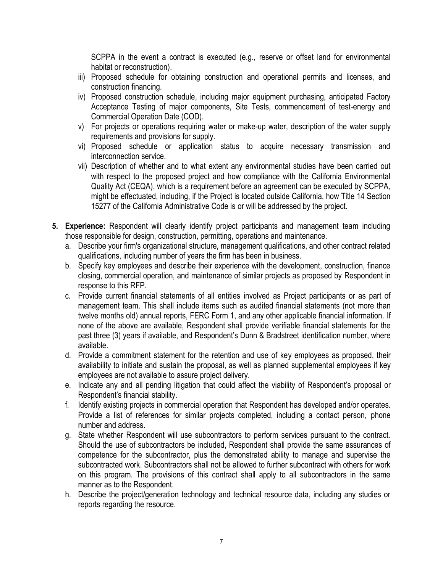SCPPA in the event a contract is executed (e.g., reserve or offset land for environmental habitat or reconstruction).

- iii) Proposed schedule for obtaining construction and operational permits and licenses, and construction financing.
- iv) Proposed construction schedule, including major equipment purchasing, anticipated Factory Acceptance Testing of major components, Site Tests, commencement of test-energy and Commercial Operation Date (COD).
- v) For projects or operations requiring water or make-up water, description of the water supply requirements and provisions for supply.
- vi) Proposed schedule or application status to acquire necessary transmission and interconnection service.
- vii) Description of whether and to what extent any environmental studies have been carried out with respect to the proposed project and how compliance with the California Environmental Quality Act (CEQA), which is a requirement before an agreement can be executed by SCPPA, might be effectuated, including, if the Project is located outside California, how Title 14 Section 15277 of the California Administrative Code is or will be addressed by the project.
- **5. Experience:** Respondent will clearly identify project participants and management team including those responsible for design, construction, permitting, operations and maintenance.
	- a. Describe your firm's organizational structure, management qualifications, and other contract related qualifications, including number of years the firm has been in business.
	- b. Specify key employees and describe their experience with the development, construction, finance closing, commercial operation, and maintenance of similar projects as proposed by Respondent in response to this RFP.
	- c. Provide current financial statements of all entities involved as Project participants or as part of management team. This shall include items such as audited financial statements (not more than twelve months old) annual reports, FERC Form 1, and any other applicable financial information. If none of the above are available, Respondent shall provide verifiable financial statements for the past three (3) years if available, and Respondent's Dunn & Bradstreet identification number, where available.
	- d. Provide a commitment statement for the retention and use of key employees as proposed, their availability to initiate and sustain the proposal, as well as planned supplemental employees if key employees are not available to assure project delivery.
	- e. Indicate any and all pending litigation that could affect the viability of Respondent's proposal or Respondent's financial stability.
	- f. Identify existing projects in commercial operation that Respondent has developed and/or operates. Provide a list of references for similar projects completed, including a contact person, phone number and address.
	- g. State whether Respondent will use subcontractors to perform services pursuant to the contract. Should the use of subcontractors be included, Respondent shall provide the same assurances of competence for the subcontractor, plus the demonstrated ability to manage and supervise the subcontracted work. Subcontractors shall not be allowed to further subcontract with others for work on this program. The provisions of this contract shall apply to all subcontractors in the same manner as to the Respondent.
	- h. Describe the project/generation technology and technical resource data, including any studies or reports regarding the resource.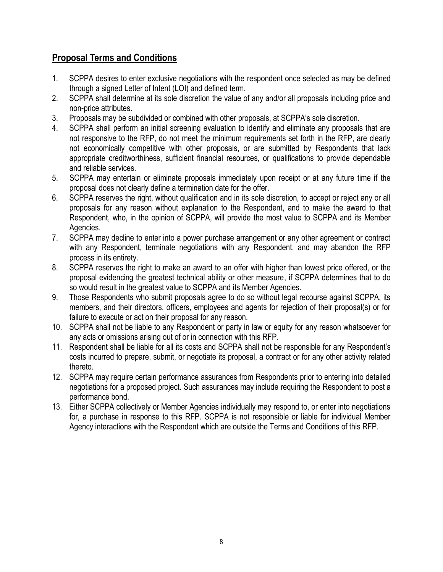# **Proposal Terms and Conditions**

- 1. SCPPA desires to enter exclusive negotiations with the respondent once selected as may be defined through a signed Letter of Intent (LOI) and defined term.
- 2. SCPPA shall determine at its sole discretion the value of any and/or all proposals including price and non-price attributes.
- 3. Proposals may be subdivided or combined with other proposals, at SCPPA's sole discretion.
- 4. SCPPA shall perform an initial screening evaluation to identify and eliminate any proposals that are not responsive to the RFP, do not meet the minimum requirements set forth in the RFP, are clearly not economically competitive with other proposals, or are submitted by Respondents that lack appropriate creditworthiness, sufficient financial resources, or qualifications to provide dependable and reliable services.
- 5. SCPPA may entertain or eliminate proposals immediately upon receipt or at any future time if the proposal does not clearly define a termination date for the offer.
- 6. SCPPA reserves the right, without qualification and in its sole discretion, to accept or reject any or all proposals for any reason without explanation to the Respondent, and to make the award to that Respondent, who, in the opinion of SCPPA, will provide the most value to SCPPA and its Member Agencies.
- 7. SCPPA may decline to enter into a power purchase arrangement or any other agreement or contract with any Respondent, terminate negotiations with any Respondent, and may abandon the RFP process in its entirety.
- 8. SCPPA reserves the right to make an award to an offer with higher than lowest price offered, or the proposal evidencing the greatest technical ability or other measure, if SCPPA determines that to do so would result in the greatest value to SCPPA and its Member Agencies.
- 9. Those Respondents who submit proposals agree to do so without legal recourse against SCPPA, its members, and their directors, officers, employees and agents for rejection of their proposal(s) or for failure to execute or act on their proposal for any reason.
- 10. SCPPA shall not be liable to any Respondent or party in law or equity for any reason whatsoever for any acts or omissions arising out of or in connection with this RFP.
- 11. Respondent shall be liable for all its costs and SCPPA shall not be responsible for any Respondent's costs incurred to prepare, submit, or negotiate its proposal, a contract or for any other activity related thereto.
- 12. SCPPA may require certain performance assurances from Respondents prior to entering into detailed negotiations for a proposed project. Such assurances may include requiring the Respondent to post a performance bond.
- 13. Either SCPPA collectively or Member Agencies individually may respond to, or enter into negotiations for, a purchase in response to this RFP. SCPPA is not responsible or liable for individual Member Agency interactions with the Respondent which are outside the Terms and Conditions of this RFP.